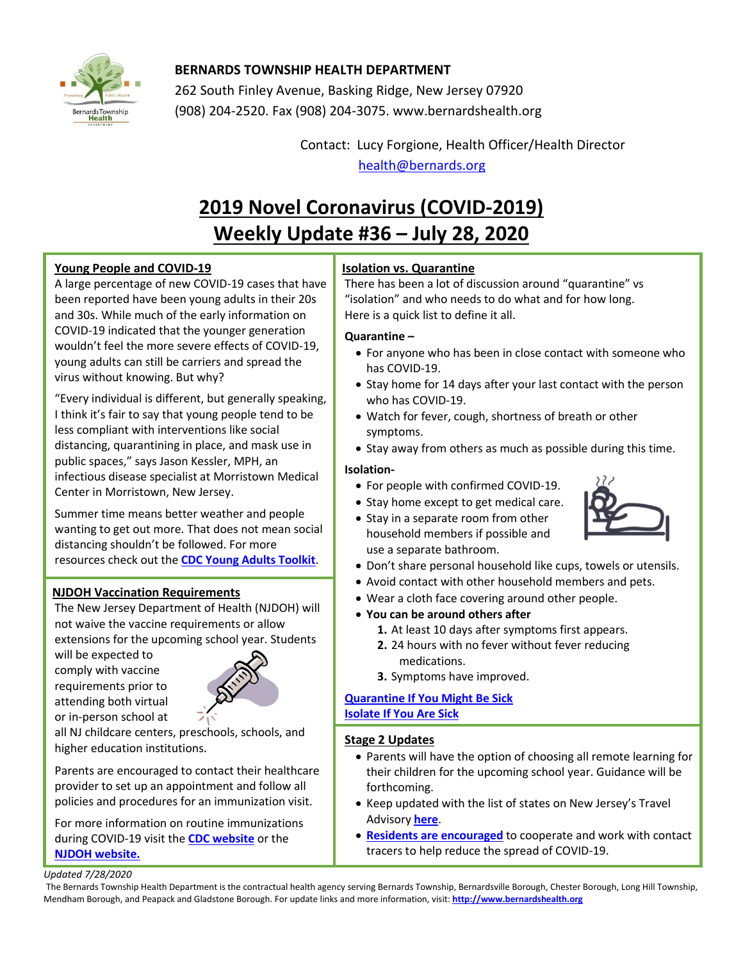

# **BERNARDS TOWNSHIP HEALTH DEPARTMENT**

262 South Finley Avenue, Basking Ridge, New Jersey 07920 (908) 204-2520. Fax (908) 204-3075[. www.bernardshealth.org](http://www.bernardshealth.org/)

> Contact: Lucy Forgione, Health Officer/Health Director [health@bernards.org](mailto:health@bernards.org)

# **2019 Novel Coronavirus (COVID-2019) Weekly Update #36 – July 28, 2020**

## **Young People and COVID-19**

A large percentage of new COVID-19 cases that have been reported have been young adults in their 20s and 30s. While much of the early information on COVID-19 indicated that the younger generation wouldn't feel the more severe effects of COVID-19, young adults can still be carriers and spread the virus without knowing. But why?

"Every individual is different, but generally speaking, I think it's fair to say that young people tend to be less compliant with interventions like social distancing, quarantining in place, and mask use in public spaces," says Jason Kessler, MPH, an infectious disease specialist at Morristown Medical Center in Morristown, New Jersey.

Summer time means better weather and people wanting to get out more. That does not mean social distancing shouldn't be followed. For more resources check out the **[CDC Young Adults Toolkit](https://www.cdc.gov/coronavirus/2019-ncov/communication/toolkits/young-adults-15-to-21.html)**.

## **NJDOH Vaccination Requirements**

The New Jersey Department of Health (NJDOH) will not waive the vaccine requirements or allow extensions for the upcoming school year. Students

will be expected to comply with vaccine requirements prior to attending both virtual or in-person school at



all NJ childcare centers, preschools, schools, and higher education institutions.

Parents are encouraged to contact their healthcare provider to set up an appointment and follow all policies and procedures for an immunization visit.

For more information on routine immunizations during COVID-19 visit the **[CDC website](https://www.cdc.gov/vaccines/parents/visit/vaccination-during-COVID-19.html)** or the **[NJDOH website.](https://www.state.nj.us/health/cd/documents/k12-parents.pdf)**

# **Isolation vs. Quarantine**

There has been a lot of discussion around "quarantine" vs "isolation" and who needs to do what and for how long. Here is a quick list to define it all.

## **Quarantine –**

- For anyone who has been in close contact with someone who has COVID-19.
- Stay home for 14 days after your last contact with the person who has COVID-19.
- Watch for fever, cough, shortness of breath or other symptoms.
- Stay away from others as much as possible during this time.

## **Isolation-**

- For people with confirmed COVID-19.
- Stay home except to get medical care.
- Stay in a separate room from other household members if possible and use a separate bathroom.
- Don't share personal household like cups, towels or utensils.
- Avoid contact with other household members and pets.
- Wear a cloth face covering around other people.
- **You can be around others after**
	- **1.** At least 10 days after symptoms first appears.
	- **2.** 24 hours with no fever without fever reducing medications.
	- **3.** Symptoms have improved.

## **[Quarantine If You Might Be Sick](https://www.cdc.gov/coronavirus/2019-ncov/if-you-are-sick/quarantine.html) [Isolate If You Are Sick](https://www.cdc.gov/coronavirus/2019-ncov/if-you-are-sick/isolation.html)**

#### **Stage 2 Updates**

- Parents will have the option of choosing all remote learning for their children for the upcoming school year. Guidance will be forthcoming.
- Keep updated with the list of states on New Jersey's Travel Advisory **[here](https://covid19.nj.gov/faqs/nj-information/travel-information/which-states-are-on-the-travel-advisory-list-are-there-travel-restrictions-to-or-from-new-jersey)**.
- **[Residents are encouraged](https://covid19.nj.gov/faqs/announcements/all-announcements/covid-19-is-still-out-there.-get-tested-work-with-contact-tracers-save-a-life)** to cooperate and work with contact tracers to help reduce the spread of COVID-19.

#### *Updated 7/28/2020*

The Bernards Township Health Department is the contractual health agency serving Bernards Township, Bernardsville Borough, Chester Borough, Long Hill Township, Mendham Borough, and Peapack and Gladstone Borough. For update links and more information, visit: **[http://www.bernardshealth.org](http://www.bernardshealth.org/)**